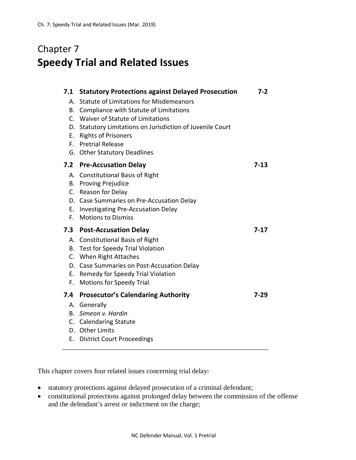## Chapter 7 **Speedy Trial and Related Issues**

| <b>Statute of Limitations for Misdemeanors</b><br>A.<br>B. Compliance with Statute of Limitations<br>C. Waiver of Statute of Limitations<br>Statutory Limitations on Jurisdiction of Juvenile Court<br>D.<br><b>Rights of Prisoners</b><br>E.<br><b>Pretrial Release</b><br>F.<br>G. Other Statutory Deadlines<br><b>Pre-Accusation Delay</b><br>$7-13$<br>7.2<br>A. Constitutional Basis of Right<br><b>B.</b> Proving Prejudice<br>C. Reason for Delay<br>D. Case Summaries on Pre-Accusation Delay<br>Е.<br>Investigating Pre-Accusation Delay<br><b>Motions to Dismiss</b><br>F.<br>7.3<br><b>Post-Accusation Delay</b><br>$7-17$<br>A. Constitutional Basis of Right<br>B. Test for Speedy Trial Violation<br>C. When Right Attaches<br>D. Case Summaries on Post-Accusation Delay<br>E. Remedy for Speedy Trial Violation<br><b>Motions for Speedy Trial</b><br>F.<br><b>Prosecutor's Calendaring Authority</b><br>7.4<br>$7-29$<br>A. Generally<br>B. Simeon v. Hardin<br>C. Calendaring Statute<br>D. Other Limits | 7.1 | <b>Statutory Protections against Delayed Prosecution</b> | 7-2 |
|----------------------------------------------------------------------------------------------------------------------------------------------------------------------------------------------------------------------------------------------------------------------------------------------------------------------------------------------------------------------------------------------------------------------------------------------------------------------------------------------------------------------------------------------------------------------------------------------------------------------------------------------------------------------------------------------------------------------------------------------------------------------------------------------------------------------------------------------------------------------------------------------------------------------------------------------------------------------------------------------------------------------------|-----|----------------------------------------------------------|-----|
|                                                                                                                                                                                                                                                                                                                                                                                                                                                                                                                                                                                                                                                                                                                                                                                                                                                                                                                                                                                                                            |     |                                                          |     |
|                                                                                                                                                                                                                                                                                                                                                                                                                                                                                                                                                                                                                                                                                                                                                                                                                                                                                                                                                                                                                            |     |                                                          |     |
|                                                                                                                                                                                                                                                                                                                                                                                                                                                                                                                                                                                                                                                                                                                                                                                                                                                                                                                                                                                                                            |     |                                                          |     |
|                                                                                                                                                                                                                                                                                                                                                                                                                                                                                                                                                                                                                                                                                                                                                                                                                                                                                                                                                                                                                            |     |                                                          |     |
|                                                                                                                                                                                                                                                                                                                                                                                                                                                                                                                                                                                                                                                                                                                                                                                                                                                                                                                                                                                                                            |     |                                                          |     |
|                                                                                                                                                                                                                                                                                                                                                                                                                                                                                                                                                                                                                                                                                                                                                                                                                                                                                                                                                                                                                            |     |                                                          |     |
|                                                                                                                                                                                                                                                                                                                                                                                                                                                                                                                                                                                                                                                                                                                                                                                                                                                                                                                                                                                                                            |     |                                                          |     |
|                                                                                                                                                                                                                                                                                                                                                                                                                                                                                                                                                                                                                                                                                                                                                                                                                                                                                                                                                                                                                            |     |                                                          |     |
|                                                                                                                                                                                                                                                                                                                                                                                                                                                                                                                                                                                                                                                                                                                                                                                                                                                                                                                                                                                                                            |     |                                                          |     |
|                                                                                                                                                                                                                                                                                                                                                                                                                                                                                                                                                                                                                                                                                                                                                                                                                                                                                                                                                                                                                            |     |                                                          |     |
|                                                                                                                                                                                                                                                                                                                                                                                                                                                                                                                                                                                                                                                                                                                                                                                                                                                                                                                                                                                                                            |     |                                                          |     |
|                                                                                                                                                                                                                                                                                                                                                                                                                                                                                                                                                                                                                                                                                                                                                                                                                                                                                                                                                                                                                            |     |                                                          |     |
|                                                                                                                                                                                                                                                                                                                                                                                                                                                                                                                                                                                                                                                                                                                                                                                                                                                                                                                                                                                                                            |     |                                                          |     |
|                                                                                                                                                                                                                                                                                                                                                                                                                                                                                                                                                                                                                                                                                                                                                                                                                                                                                                                                                                                                                            |     |                                                          |     |
|                                                                                                                                                                                                                                                                                                                                                                                                                                                                                                                                                                                                                                                                                                                                                                                                                                                                                                                                                                                                                            |     |                                                          |     |
|                                                                                                                                                                                                                                                                                                                                                                                                                                                                                                                                                                                                                                                                                                                                                                                                                                                                                                                                                                                                                            |     |                                                          |     |
|                                                                                                                                                                                                                                                                                                                                                                                                                                                                                                                                                                                                                                                                                                                                                                                                                                                                                                                                                                                                                            |     |                                                          |     |
|                                                                                                                                                                                                                                                                                                                                                                                                                                                                                                                                                                                                                                                                                                                                                                                                                                                                                                                                                                                                                            |     |                                                          |     |
|                                                                                                                                                                                                                                                                                                                                                                                                                                                                                                                                                                                                                                                                                                                                                                                                                                                                                                                                                                                                                            |     |                                                          |     |
|                                                                                                                                                                                                                                                                                                                                                                                                                                                                                                                                                                                                                                                                                                                                                                                                                                                                                                                                                                                                                            |     |                                                          |     |
|                                                                                                                                                                                                                                                                                                                                                                                                                                                                                                                                                                                                                                                                                                                                                                                                                                                                                                                                                                                                                            |     |                                                          |     |
|                                                                                                                                                                                                                                                                                                                                                                                                                                                                                                                                                                                                                                                                                                                                                                                                                                                                                                                                                                                                                            |     |                                                          |     |
|                                                                                                                                                                                                                                                                                                                                                                                                                                                                                                                                                                                                                                                                                                                                                                                                                                                                                                                                                                                                                            |     |                                                          |     |
|                                                                                                                                                                                                                                                                                                                                                                                                                                                                                                                                                                                                                                                                                                                                                                                                                                                                                                                                                                                                                            |     |                                                          |     |
|                                                                                                                                                                                                                                                                                                                                                                                                                                                                                                                                                                                                                                                                                                                                                                                                                                                                                                                                                                                                                            |     |                                                          |     |
|                                                                                                                                                                                                                                                                                                                                                                                                                                                                                                                                                                                                                                                                                                                                                                                                                                                                                                                                                                                                                            |     |                                                          |     |
|                                                                                                                                                                                                                                                                                                                                                                                                                                                                                                                                                                                                                                                                                                                                                                                                                                                                                                                                                                                                                            | Е.  | <b>District Court Proceedings</b>                        |     |

This chapter covers four related issues concerning trial delay:

- statutory protections against delayed prosecution of a criminal defendant;
- constitutional protections against prolonged delay between the commission of the offense and the defendant's arrest or indictment on the charge;